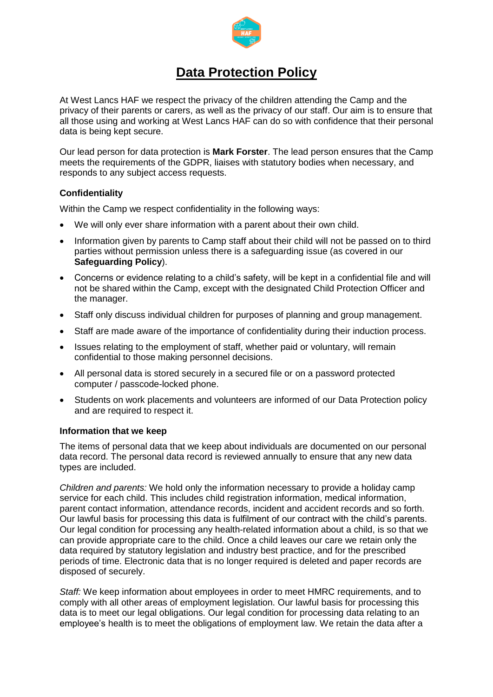

# **Data Protection Policy**

At West Lancs HAF we respect the privacy of the children attending the Camp and the privacy of their parents or carers, as well as the privacy of our staff. Our aim is to ensure that all those using and working at West Lancs HAF can do so with confidence that their personal data is being kept secure.

Our lead person for data protection is **Mark Forster**. The lead person ensures that the Camp meets the requirements of the GDPR, liaises with statutory bodies when necessary, and responds to any subject access requests.

# **Confidentiality**

Within the Camp we respect confidentiality in the following ways:

- We will only ever share information with a parent about their own child.
- Information given by parents to Camp staff about their child will not be passed on to third parties without permission unless there is a safeguarding issue (as covered in our **Safeguarding Policy**).
- Concerns or evidence relating to a child's safety, will be kept in a confidential file and will not be shared within the Camp, except with the designated Child Protection Officer and the manager.
- Staff only discuss individual children for purposes of planning and group management.
- Staff are made aware of the importance of confidentiality during their induction process.
- Issues relating to the employment of staff, whether paid or voluntary, will remain confidential to those making personnel decisions.
- All personal data is stored securely in a secured file or on a password protected computer / passcode-locked phone.
- Students on work placements and volunteers are informed of our Data Protection policy and are required to respect it.

## **Information that we keep**

The items of personal data that we keep about individuals are documented on our personal data record. The personal data record is reviewed annually to ensure that any new data types are included.

*Children and parents:* We hold only the information necessary to provide a holiday camp service for each child. This includes child registration information, medical information, parent contact information, attendance records, incident and accident records and so forth. Our lawful basis for processing this data is fulfilment of our contract with the child's parents. Our legal condition for processing any health-related information about a child, is so that we can provide appropriate care to the child. Once a child leaves our care we retain only the data required by statutory legislation and industry best practice, and for the prescribed periods of time. Electronic data that is no longer required is deleted and paper records are disposed of securely.

*Staff:* We keep information about employees in order to meet HMRC requirements, and to comply with all other areas of employment legislation. Our lawful basis for processing this data is to meet our legal obligations. Our legal condition for processing data relating to an employee's health is to meet the obligations of employment law. We retain the data after a